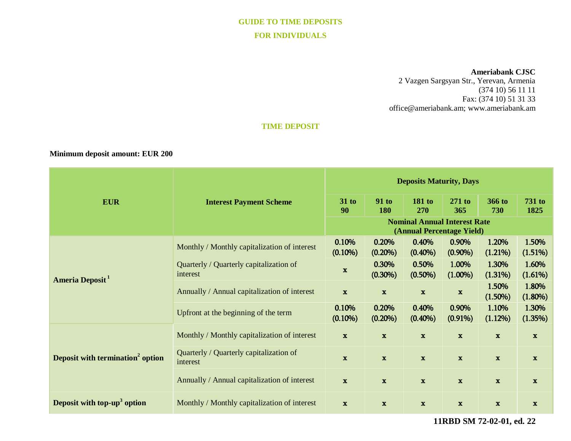# **GUIDE TO TIME DEPOSITS FOR INDIVIDUALS**

#### **Ameriabank CJSC**

2 Vazgen Sargsyan Str., Yerevan, Armenia (374 10) 56 11 11 Fax: (374 10) 51 31 33 [office@ameriabank.am;](mailto:office@ameriabank.am) www.ameriabank.am

### **TIME DEPOSIT**

## **Minimum deposit amount: EUR 200**

|                                              | <b>Interest Payment Scheme</b>                      | <b>Deposits Maturity, Days</b>                                   |                     |                      |                     |                     |                       |
|----------------------------------------------|-----------------------------------------------------|------------------------------------------------------------------|---------------------|----------------------|---------------------|---------------------|-----------------------|
| <b>EUR</b>                                   |                                                     | $31$ to<br>90                                                    | <b>91 to</b><br>180 | <b>181 to</b><br>270 | $271$ to<br>365     | 366 to<br>730       | <b>731 to</b><br>1825 |
|                                              |                                                     | <b>Nominal Annual Interest Rate</b><br>(Annual Percentage Yield) |                     |                      |                     |                     |                       |
| Ameria Deposit <sup>1</sup>                  | Monthly / Monthly capitalization of interest        | 0.10%<br>$(0.10\%)$                                              | 0.20%<br>$(0.20\%)$ | 0.40%<br>$(0.40\%)$  | 0.90%<br>$(0.90\%)$ | 1.20%<br>(1.21%)    | 1.50%<br>(1.51%)      |
|                                              | Quarterly / Quarterly capitalization of<br>interest | $\mathbf{x}$                                                     | 0.30%<br>$(0.30\%)$ | 0.50%<br>$(0.50\%)$  | 1.00%<br>$(1.00\%)$ | 1.30%<br>(1.31%)    | 1.60%<br>(1.61%)      |
|                                              | Annually / Annual capitalization of interest        | $\mathbf{x}$                                                     | $\mathbf{x}$        | $\mathbf{x}$         | $\mathbf x$         | 1.50%<br>$(1.50\%)$ | 1.80%<br>$(1.80\%)$   |
|                                              | Upfront at the beginning of the term                | 0.10%<br>$(0.10\%)$                                              | 0.20%<br>$(0.20\%)$ | 0.40%<br>$(0.40\%)$  | 0.90%<br>$(0.91\%)$ | 1.10%<br>(1.12%)    | 1.30%<br>(1.35%)      |
| Deposit with termination <sup>2</sup> option | Monthly / Monthly capitalization of interest        | $\mathbf x$                                                      | $\mathbf x$         | $\mathbf{x}$         | $\mathbf x$         | $\mathbf{x}$        | $\mathbf x$           |
|                                              | Quarterly / Quarterly capitalization of<br>interest | $\mathbf{x}$                                                     | $\mathbf x$         | $\mathbf{x}$         | $\mathbf{x}$        | $\mathbf{x}$        | $\mathbf{x}$          |
|                                              | Annually / Annual capitalization of interest        | $\mathbf{x}$                                                     | $\mathbf{x}$        | $\mathbf x$          | $\mathbf x$         | $\mathbf x$         | $\mathbf{x}$          |
| Deposit with top-up <sup>3</sup> option      | Monthly / Monthly capitalization of interest        | $\mathbf x$                                                      | $\mathbf{x}$        | $\mathbf x$          | $\mathbf x$         | $\mathbf x$         | $\mathbf x$           |

**11RBD SM 72-02-01, ed. 22**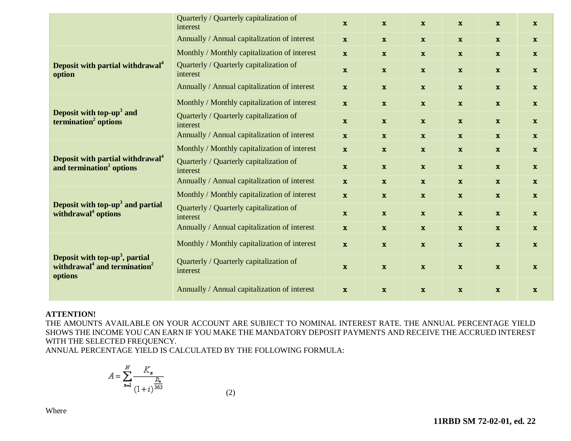|                                                                                                               | Quarterly / Quarterly capitalization of<br>interest | $\mathbf{x}$ | $\mathbf{x}$ | $\mathbf{x}$ | $\mathbf x$  | $\mathbf{x}$ | $\mathbf{x}$ |
|---------------------------------------------------------------------------------------------------------------|-----------------------------------------------------|--------------|--------------|--------------|--------------|--------------|--------------|
|                                                                                                               | Annually / Annual capitalization of interest        | $\mathbf x$  | $\mathbf{x}$ | $\mathbf{x}$ | $\mathbf{x}$ | $\mathbf{x}$ | $\mathbf{x}$ |
| Deposit with partial withdrawal <sup>4</sup><br>option                                                        | Monthly / Monthly capitalization of interest        | $\mathbf x$  | $\mathbf{x}$ | $\mathbf x$  | $\mathbf x$  | $\mathbf{x}$ | $\mathbf{x}$ |
|                                                                                                               | Quarterly / Quarterly capitalization of<br>interest | $\mathbf x$  | $\mathbf{x}$ | $\mathbf{x}$ | $\mathbf x$  | $\mathbf{x}$ | $\mathbf{x}$ |
|                                                                                                               | Annually / Annual capitalization of interest        | $\mathbf{x}$ | $\mathbf{x}$ | $\mathbf{x}$ | $\mathbf x$  | $\mathbf{x}$ | $\mathbf X$  |
| Deposit with top-up <sup>3</sup> and<br>termination <sup>2</sup> options                                      | Monthly / Monthly capitalization of interest        | $\mathbf x$  | $\mathbf x$  | $\mathbf x$  | $\mathbf x$  | $\mathbf x$  | $\mathbf{x}$ |
|                                                                                                               | Quarterly / Quarterly capitalization of<br>interest | $\mathbf{x}$ | $\mathbf{x}$ | $\mathbf x$  | $\mathbf{x}$ | $\mathbf{x}$ | $\mathbf{x}$ |
|                                                                                                               | Annually / Annual capitalization of interest        | $\mathbf{x}$ | $\mathbf{x}$ | $\mathbf{x}$ | $\mathbf x$  | $\mathbf{x}$ | $\mathbf{x}$ |
| Deposit with partial withdrawal <sup>4</sup><br>and termination <sup>2</sup> options                          | Monthly / Monthly capitalization of interest        | $\mathbf{x}$ | $\mathbf{x}$ | $\mathbf{x}$ | $\mathbf{x}$ | $\mathbf{x}$ | $\mathbf{x}$ |
|                                                                                                               | Quarterly / Quarterly capitalization of<br>interest | $\mathbf{x}$ | $\mathbf{x}$ | $\mathbf x$  | $\mathbf x$  | $\mathbf{x}$ | $\mathbf{x}$ |
|                                                                                                               | Annually / Annual capitalization of interest        | $\mathbf{x}$ | $\mathbf{x}$ | $\mathbf{x}$ | $\mathbf x$  | $\mathbf{x}$ | $\mathbf{x}$ |
| Deposit with top-up <sup>3</sup> and partial<br>withdrawal <sup>4</sup> options                               | Monthly / Monthly capitalization of interest        | $\mathbf{x}$ | $\mathbf{x}$ | $\mathbf{x}$ | $\mathbf x$  | $\mathbf{x}$ | $\mathbf{x}$ |
|                                                                                                               | Quarterly / Quarterly capitalization of<br>interest | $\mathbf{x}$ | $\mathbf{x}$ | $\mathbf{x}$ | $\mathbf{x}$ | $\mathbf{x}$ | $\mathbf{x}$ |
|                                                                                                               | Annually / Annual capitalization of interest        | $\mathbf{x}$ | $\mathbf{x}$ | $\mathbf{x}$ | $\mathbf{x}$ | $\mathbf{x}$ | $\mathbf{x}$ |
| Deposit with top-up <sup>3</sup> , partial<br>withdrawal <sup>4</sup> and termination <sup>2</sup><br>options | Monthly / Monthly capitalization of interest        | $\mathbf{x}$ | $\mathbf{x}$ | $\mathbf{x}$ | $\mathbf x$  | $\mathbf{x}$ | $\mathbf{x}$ |
|                                                                                                               | Quarterly / Quarterly capitalization of<br>interest | $\mathbf{x}$ | $\mathbf{x}$ | $\mathbf{x}$ | $\mathbf{x}$ | $\mathbf{x}$ | $\mathbf{x}$ |
|                                                                                                               | Annually / Annual capitalization of interest        | $\mathbf{x}$ | $\mathbf{x}$ | $\mathbf{x}$ | $\mathbf{x}$ | $\mathbf{x}$ | $\mathbf{x}$ |

# **ATTENTION!**

THE AMOUNTS AVAILABLE ON YOUR ACCOUNT ARE SUBJECT TO NOMINAL INTEREST RATE. THE ANNUAL PERCENTAGE YIELD SHOWS THE INCOME YOU CAN EARN IF YOU MAKE THE MANDATORY DEPOSIT PAYMENTS AND RECEIVE THE ACCRUED INTEREST WITH THE SELECTED FREQUENCY.

ANNUAL PERCENTAGE YIELD IS CALCULATED BY THE FOLLOWING FORMULA:

$$
A = \sum_{n=1}^{N} \frac{K_n}{(1+i)^{\frac{D_n}{365}}}
$$
(2)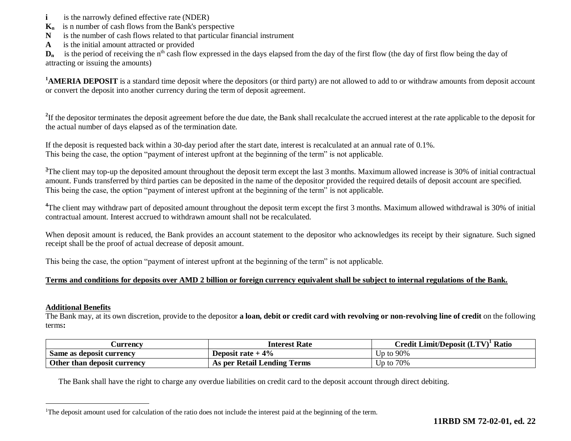- **i is the narrowly defined effective rate (NDER)**
- **Kn** is n number of cash flows from the Bank's perspective
- **N** is the number of cash flows related to that particular financial instrument
- **A** is the initial amount attracted or provided

 $D_n$  is the period of receiving the n<sup>th</sup> cash flow expressed in the days elapsed from the day of the first flow (the day of first flow being the day of attracting or issuing the amounts)

<sup>1</sup>**AMERIA DEPOSIT** is a standard time deposit where the depositors (or third party) are not allowed to add to or withdraw amounts from deposit account or convert the deposit into another currency during the term of deposit agreement.

<sup>2</sup>If the depositor terminates the deposit agreement before the due date, the Bank shall recalculate the accrued interest at the rate applicable to the deposit for the actual number of days elapsed as of the termination date.

If the deposit is requested back within a 30-day period after the start date, interest is recalculated at an annual rate of 0.1%. This being the case, the option "payment of interest upfront at the beginning of the term" is not applicable.

<sup>3</sup>The client may top-up the deposited amount throughout the deposit term except the last 3 months. Maximum allowed increase is 30% of initial contractual amount. Funds transferred by third parties can be deposited in the name of the depositor provided the required details of deposit account are specified. This being the case, the option "payment of interest upfront at the beginning of the term" is not applicable.

<sup>4</sup>The client may withdraw part of deposited amount throughout the deposit term except the first 3 months. Maximum allowed withdrawal is 30% of initial contractual amount. Interest accrued to withdrawn amount shall not be recalculated.

When deposit amount is reduced, the Bank provides an account statement to the depositor who acknowledges its receipt by their signature. Such signed receipt shall be the proof of actual decrease of deposit amount.

This being the case, the option "payment of interest upfront at the beginning of the term" is not applicable.

#### **Terms and conditions for deposits over AMD 2 billion or foreign currency equivalent shall be subject to internal regulations of the Bank.**

#### **Additional Benefits**

 $\overline{a}$ 

The Bank may, at its own discretion, provide to the depositor **a loan, debit or credit card with revolving or non-revolving line of credit** on the following terms**:**

| <b>Currency</b>             | <b>Interest Rate</b>        | $C$ redit Limit/Deposit $(LTV)^T$ Ratio |
|-----------------------------|-----------------------------|-----------------------------------------|
| Same as deposit currency    | Deposit rate $+4\%$         | Up to $90\%$                            |
| Other than deposit currency | As per Retail Lending Terms | Up to $70\%$                            |

The Bank shall have the right to charge any overdue liabilities on credit card to the deposit account through direct debiting.

<sup>&</sup>lt;sup>1</sup>The deposit amount used for calculation of the ratio does not include the interest paid at the beginning of the term.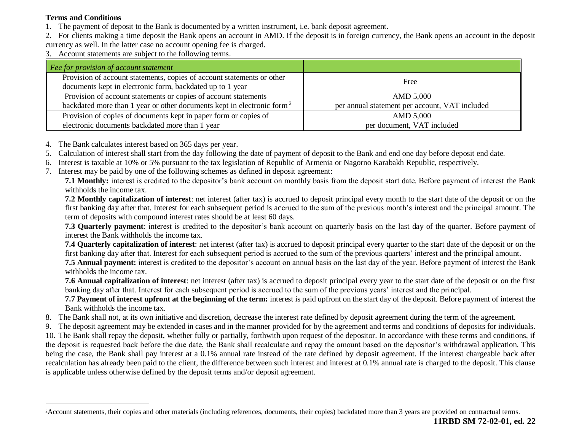# **Terms and Conditions**

 $\overline{a}$ 

- 1. The payment of deposit to the Bank is documented by a written instrument, i.e. bank deposit agreement.
- 2. For clients making a time deposit the Bank opens an account in AMD. If the deposit is in foreign currency, the Bank opens an account in the deposit currency as well. In the latter case no account opening fee is charged.
- 3. Account statements are subject to the following terms.

| Fee for provision of account statement                                                                                              |                                                |
|-------------------------------------------------------------------------------------------------------------------------------------|------------------------------------------------|
| Provision of account statements, copies of account statements or other<br>documents kept in electronic form, backdated up to 1 year | Free                                           |
| Provision of account statements or copies of account statements                                                                     | AMD 5,000                                      |
| backdated more than 1 year or other documents kept in electronic form <sup>2</sup>                                                  | per annual statement per account, VAT included |
| Provision of copies of documents kept in paper form or copies of                                                                    | AMD 5,000                                      |
| electronic documents backdated more than 1 year                                                                                     | per document, VAT included                     |

- 4. The Bank calculates interest based on 365 days per year.
- 5. Calculation of interest shall start from the day following the date of payment of deposit to the Bank and end one day before deposit end date.
- 6. Interest is taxable at 10% or 5% pursuant to the tax legislation of Republic of Armenia or Nagorno Karabakh Republic, respectively.
- 7. Interest may be paid by one of the following schemes as defined in deposit agreement:

**7.1 Monthly:** interest is credited to the depositor's bank account on monthly basis from the deposit start date. Before payment of interest the Bank withholds the income tax.

**7.2 Monthly capitalization of interest**: net interest (after tax) is accrued to deposit principal every month to the start date of the deposit or on the first banking day after that. Interest for each subsequent period is accrued to the sum of the previous month's interest and the principal amount. The term of deposits with compound interest rates should be at least 60 days.

**7.3 Quarterly payment**: interest is credited to the depositor's bank account on quarterly basis on the last day of the quarter. Before payment of interest the Bank withholds the income tax.

**7.4 Quarterly capitalization of interest**: net interest (after tax) is accrued to deposit principal every quarter to the start date of the deposit or on the first banking day after that. Interest for each subsequent period is accrued to the sum of the previous quarters' interest and the principal amount.

**7.5 Annual payment:** interest is credited to the depositor's account on annual basis on the last day of the year. Before payment of interest the Bank withholds the income tax.

**7.6 Annual capitalization of interest**: net interest (after tax) is accrued to deposit principal every year to the start date of the deposit or on the first banking day after that. Interest for each subsequent period is accrued to the sum of the previous years' interest and the principal.

**7.7 Payment of interest upfront at the beginning of the term:** interest is paid upfront on the start day of the deposit. Before payment of interest the Bank withholds the income tax.

- 8. The Bank shall not, at its own initiative and discretion, decrease the interest rate defined by deposit agreement during the term of the agreement.
- 9. The deposit agreement may be extended in cases and in the manner provided for by the agreement and terms and conditions of deposits for individuals.

10. The Bank shall repay the deposit, whether fully or partially, forthwith upon request of the depositor. In accordance with these terms and conditions, if the deposit is requested back before the due date, the Bank shall recalculate and repay the amount based on the depositor's withdrawal application. This being the case, the Bank shall pay interest at a 0.1% annual rate instead of the rate defined by deposit agreement. If the interest chargeable back after recalculation has already been paid to the client, the difference between such interest and interest at 0.1% annual rate is charged to the deposit. This clause is applicable unless otherwise defined by the deposit terms and/or deposit agreement.

<sup>2</sup>Account statements, their copies and other materials (including references, documents, their copies) backdated more than 3 years are provided on contractual terms.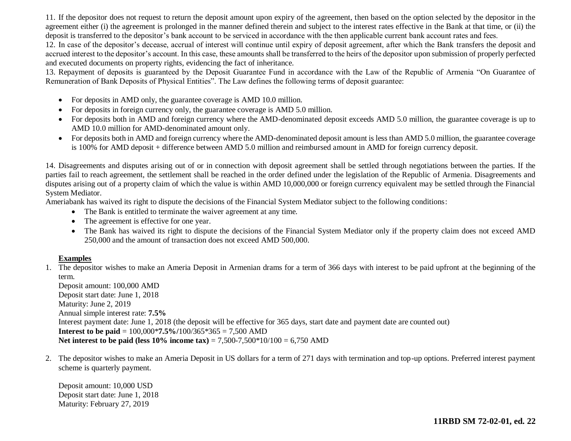11. If the depositor does not request to return the deposit amount upon expiry of the agreement, then based on the option selected by the depositor in the agreement either (i) the agreement is prolonged in the manner defined therein and subject to the interest rates effective in the Bank at that time, or (ii) the deposit is transferred to the depositor's bank account to be serviced in accordance with the then applicable current bank account rates and fees.

12. In case of the depositor's decease, accrual of interest will continue until expiry of deposit agreement, after which the Bank transfers the deposit and accrued interest to the depositor's account. In this case, these amounts shall be transferred to the heirs of the depositor upon submission of properly perfected and executed documents on property rights, evidencing the fact of inheritance.

13. Repayment of deposits is guaranteed by the Deposit Guarantee Fund in accordance with the Law of the Republic of Armenia "On Guarantee of Remuneration of Bank Deposits of Physical Entities". The Law defines the following terms of deposit guarantee:

- For deposits in AMD only, the guarantee coverage is AMD 10.0 million.
- For deposits in foreign currency only, the guarantee coverage is AMD 5.0 million.
- For deposits both in AMD and foreign currency where the AMD-denominated deposit exceeds AMD 5.0 million, the guarantee coverage is up to AMD 10.0 million for AMD-denominated amount only.
- For deposits both in AMD and foreign currency where the AMD-denominated deposit amount is less than AMD 5.0 million, the guarantee coverage is 100% for AMD deposit + difference between AMD 5.0 million and reimbursed amount in AMD for foreign currency deposit.

14. Disagreements and disputes arising out of or in connection with deposit agreement shall be settled through negotiations between the parties. If the parties fail to reach agreement, the settlement shall be reached in the order defined under the legislation of the Republic of Armenia. Disagreements and disputes arising out of a property claim of which the value is within AMD 10,000,000 or foreign currency equivalent may be settled through the Financial System Mediator.

Ameriabank has waived its right to dispute the decisions of the Financial System Mediator subject to the following conditions:

- The Bank is entitled to terminate the waiver agreement at any time.
- The agreement is effective for one year.
- The Bank has waived its right to dispute the decisions of the Financial System Mediator only if the property claim does not exceed AMD 250,000 and the amount of transaction does not exceed AMD 500,000.

# **Examples**

1. The depositor wishes to make an Ameria Deposit in Armenian drams for a term of 366 days with interest to be paid upfront at the beginning of the term.

Deposit amount: 100,000 AMD Deposit start date: June 1, 2018 Maturity: June 2, 2019 Annual simple interest rate: **7.5%** Interest payment date: June 1, 2018 (the deposit will be effective for 365 days, start date and payment date are counted out) **Interest to be paid** = 100,000\***7.5%/**100/365\*365 = 7,500 AMD **Net interest to be paid (less 10% income tax)** = 7,500-7,500\*10/100 = 6,750 AMD

2. The depositor wishes to make an Ameria Deposit in US dollars for a term of 271 days with termination and top-up options. Preferred interest payment scheme is quarterly payment.

Deposit amount: 10,000 USD Deposit start date: June 1, 2018 Maturity: February 27, 2019